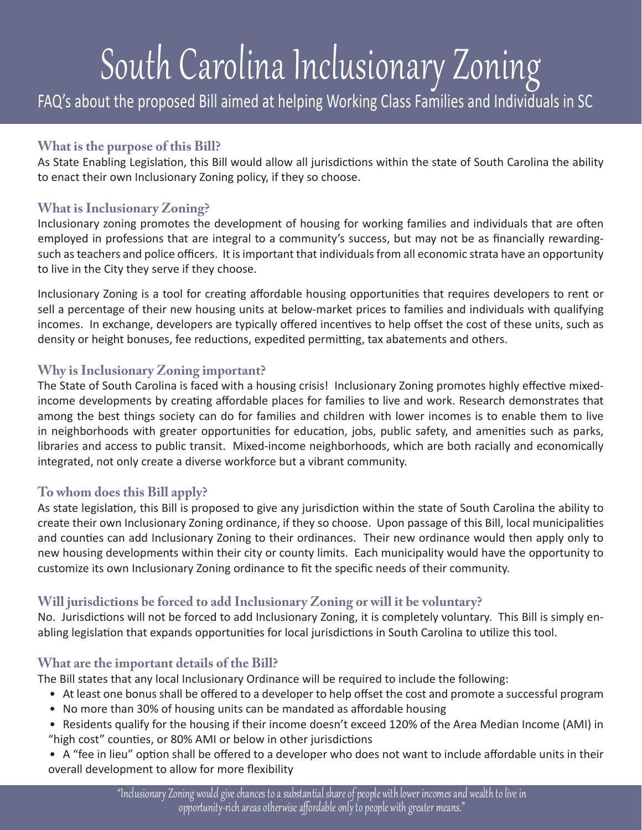# South Carolina Inclusionary Zoning

FAQ's about the proposed Bill aimed at helping Working Class Families and Individuals in SC

## **What is the purpose of this Bill?**

As State Enabling Legislation, this Bill would allow all jurisdictions within the state of South Carolina the ability to enact their own Inclusionary Zoning policy, if they so choose.

## **What is Inclusionary Zoning?**

Inclusionary zoning promotes the development of housing for working families and individuals that are often employed in professions that are integral to a community's success, but may not be as financially rewardingsuch as teachers and police officers. It is important that individuals from all economic strata have an opportunity to live in the City they serve if they choose.

Inclusionary Zoning is a tool for creating affordable housing opportunities that requires developers to rent or sell a percentage of their new housing units at below-market prices to families and individuals with qualifying incomes. In exchange, developers are typically offered incentives to help offset the cost of these units, such as density or height bonuses, fee reductions, expedited permitting, tax abatements and others.

## **Why is Inclusionary Zoning important?**

The State of South Carolina is faced with a housing crisis! Inclusionary Zoning promotes highly effective mixedincome developments by creating affordable places for families to live and work. Research demonstrates that among the best things society can do for families and children with lower incomes is to enable them to live in neighborhoods with greater opportunities for education, jobs, public safety, and amenities such as parks, libraries and access to public transit. Mixed-income neighborhoods, which are both racially and economically integrated, not only create a diverse workforce but a vibrant community.

## **To whom does this Bill apply?**

As state legislation, this Bill is proposed to give any jurisdiction within the state of South Carolina the ability to create their own Inclusionary Zoning ordinance, if they so choose. Upon passage of this Bill, local municipalities and counties can add Inclusionary Zoning to their ordinances. Their new ordinance would then apply only to new housing developments within their city or county limits. Each municipality would have the opportunity to customize its own Inclusionary Zoning ordinance to fit the specific needs of their community.

## **Will jurisdictions be forced to add Inclusionary Zoning or will it be voluntary?**

No. Jurisdictions will not be forced to add Inclusionary Zoning, it is completely voluntary. This Bill is simply enabling legislation that expands opportunities for local jurisdictions in South Carolina to utilize this tool.

#### **What are the important details of the Bill?**

The Bill states that any local Inclusionary Ordinance will be required to include the following:

- At least one bonus shall be offered to a developer to help offset the cost and promote a successful program
- No more than 30% of housing units can be mandated as affordable housing
- Residents qualify for the housing if their income doesn't exceed 120% of the Area Median Income (AMI) in "high cost" counties, or 80% AMI or below in other jurisdictions

• A "fee in lieu" option shall be offered to a developer who does not want to include affordable units in their overall development to allow for more flexibility